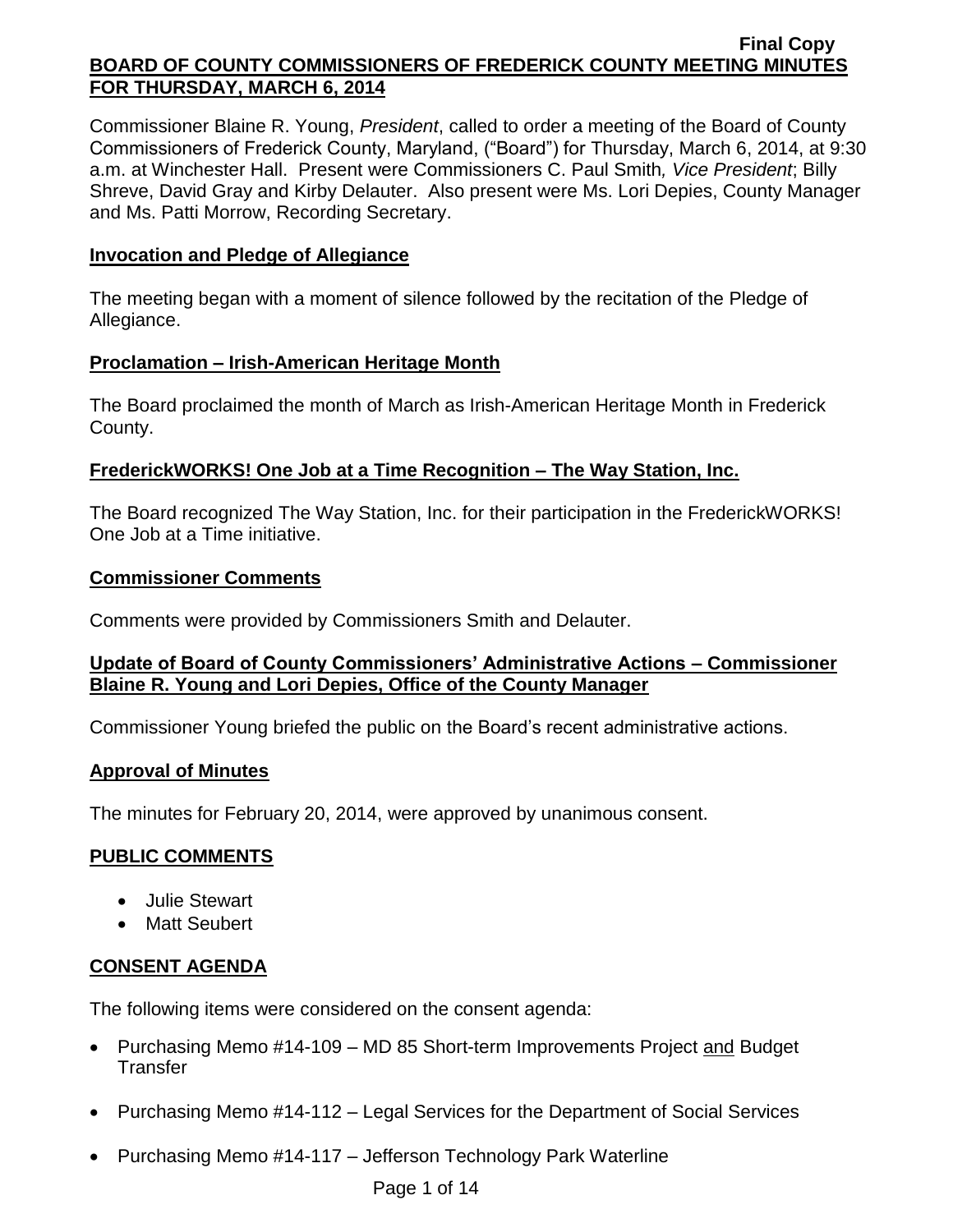Commissioner Blaine R. Young, *President*, called to order a meeting of the Board of County Commissioners of Frederick County, Maryland, ("Board") for Thursday, March 6, 2014, at 9:30 a.m. at Winchester Hall. Present were Commissioners C. Paul Smith*, Vice President*; Billy Shreve, David Gray and Kirby Delauter. Also present were Ms. Lori Depies, County Manager and Ms. Patti Morrow, Recording Secretary.

### **Invocation and Pledge of Allegiance**

The meeting began with a moment of silence followed by the recitation of the Pledge of Allegiance.

### **Proclamation – Irish-American Heritage Month**

The Board proclaimed the month of March as Irish-American Heritage Month in Frederick County.

### **FrederickWORKS! One Job at a Time Recognition – The Way Station, Inc.**

The Board recognized The Way Station, Inc. for their participation in the FrederickWORKS! One Job at a Time initiative.

### **Commissioner Comments**

Comments were provided by Commissioners Smith and Delauter.

### **Update of Board of County Commissioners' Administrative Actions – Commissioner Blaine R. Young and Lori Depies, Office of the County Manager**

Commissioner Young briefed the public on the Board's recent administrative actions.

#### **Approval of Minutes**

The minutes for February 20, 2014, were approved by unanimous consent.

### **PUBLIC COMMENTS**

- Julie Stewart
- Matt Seubert

### **CONSENT AGENDA**

The following items were considered on the consent agenda:

- Purchasing Memo #14-109 MD 85 Short-term Improvements Project and Budget **Transfer**
- Purchasing Memo #14-112 Legal Services for the Department of Social Services
- Purchasing Memo #14-117 Jefferson Technology Park Waterline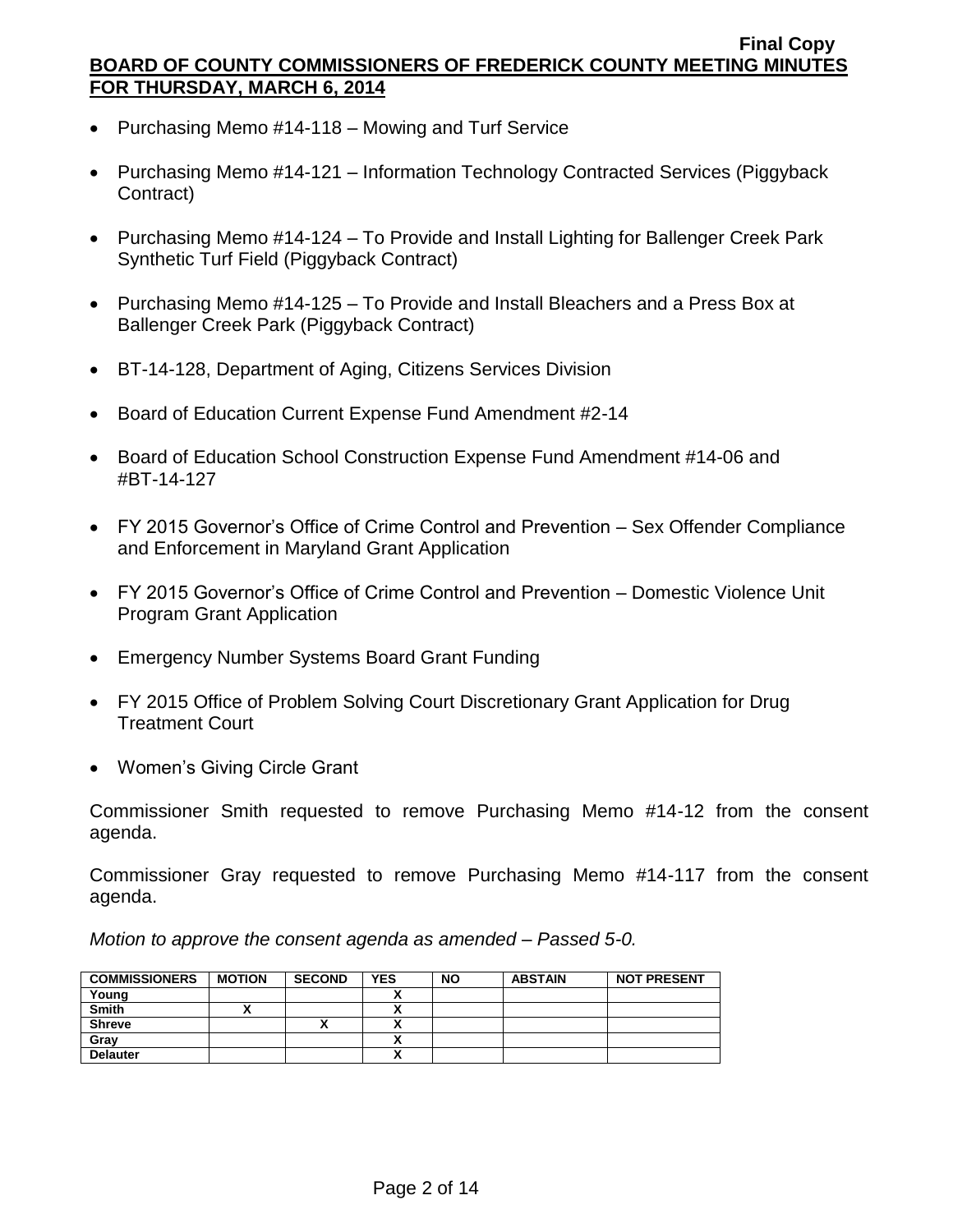- Purchasing Memo #14-118 Mowing and Turf Service
- Purchasing Memo #14-121 Information Technology Contracted Services (Piggyback Contract)
- Purchasing Memo #14-124 To Provide and Install Lighting for Ballenger Creek Park Synthetic Turf Field (Piggyback Contract)
- Purchasing Memo #14-125 To Provide and Install Bleachers and a Press Box at Ballenger Creek Park (Piggyback Contract)
- BT-14-128, Department of Aging, Citizens Services Division
- Board of Education Current Expense Fund Amendment #2-14
- Board of Education School Construction Expense Fund Amendment #14-06 and #BT-14-127
- FY 2015 Governor's Office of Crime Control and Prevention Sex Offender Compliance and Enforcement in Maryland Grant Application
- FY 2015 Governor's Office of Crime Control and Prevention Domestic Violence Unit Program Grant Application
- Emergency Number Systems Board Grant Funding
- FY 2015 Office of Problem Solving Court Discretionary Grant Application for Drug Treatment Court
- Women's Giving Circle Grant

Commissioner Smith requested to remove Purchasing Memo #14-12 from the consent agenda.

Commissioner Gray requested to remove Purchasing Memo #14-117 from the consent agenda.

*Motion to approve the consent agenda as amended – Passed 5-0.*

| <b>COMMISSIONERS</b> | <b>MOTION</b> | <b>SECOND</b> | <b>YES</b> | <b>NO</b> | <b>ABSTAIN</b> | <b>NOT PRESENT</b> |
|----------------------|---------------|---------------|------------|-----------|----------------|--------------------|
| Young                |               |               |            |           |                |                    |
| <b>Smith</b>         |               |               |            |           |                |                    |
| <b>Shreve</b>        |               | '             |            |           |                |                    |
| Gray                 |               |               | ~          |           |                |                    |
| <b>Delauter</b>      |               |               |            |           |                |                    |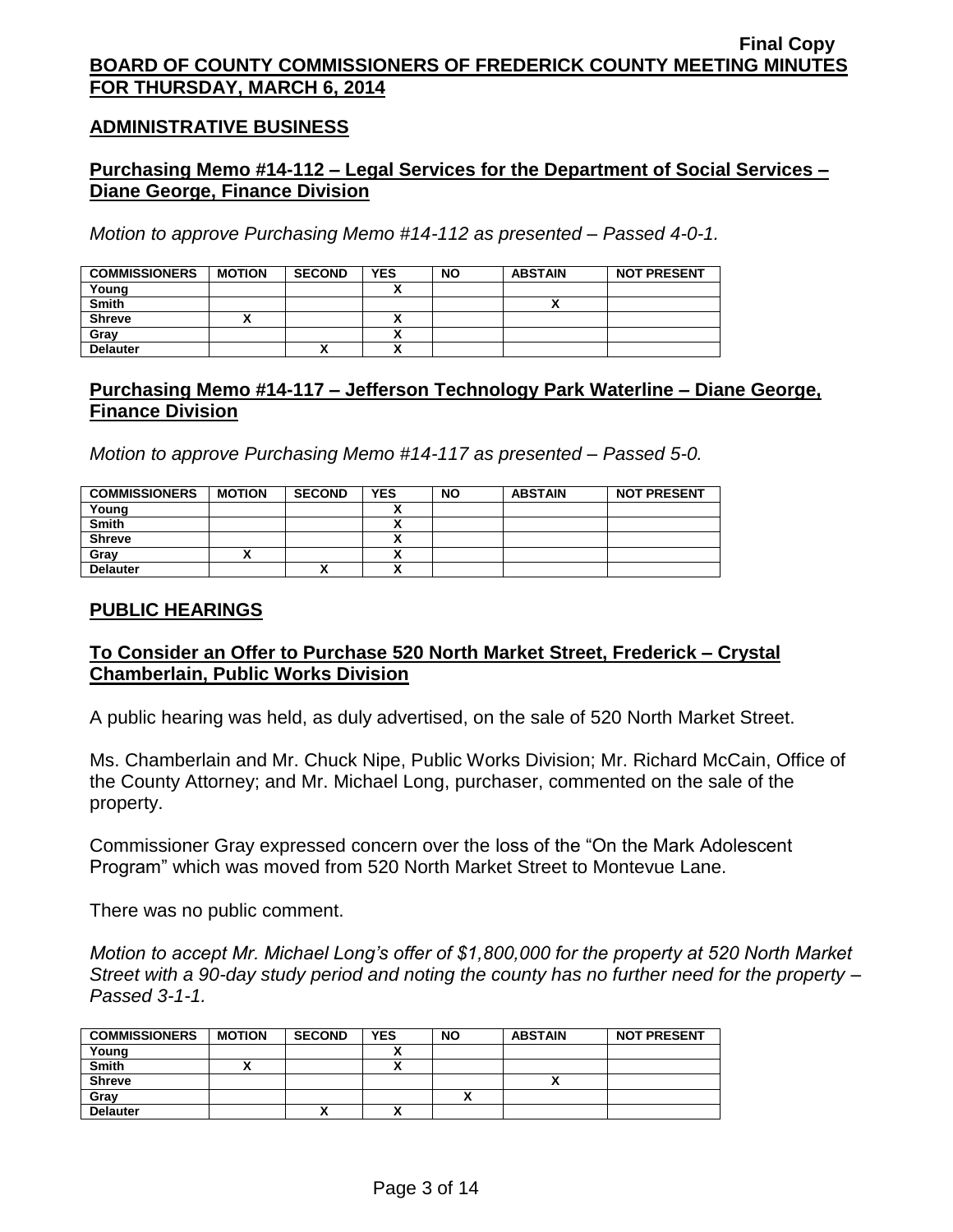### **ADMINISTRATIVE BUSINESS**

## **Purchasing Memo #14-112 – Legal Services for the Department of Social Services – Diane George, Finance Division**

*Motion to approve Purchasing Memo #14-112 as presented – Passed 4-0-1.*

| <b>COMMISSIONERS</b> | <b>MOTION</b> | <b>SECOND</b> | <b>YES</b>               | <b>NO</b> | <b>ABSTAIN</b> | <b>NOT PRESENT</b> |
|----------------------|---------------|---------------|--------------------------|-----------|----------------|--------------------|
| Young                |               |               |                          |           |                |                    |
| <b>Smith</b>         |               |               |                          |           |                |                    |
| <b>Shreve</b>        |               |               |                          |           |                |                    |
| Gray                 |               |               |                          |           |                |                    |
| <b>Delauter</b>      |               | ^             | $\overline{\phantom{a}}$ |           |                |                    |

### **Purchasing Memo #14-117 – Jefferson Technology Park Waterline – Diane George, Finance Division**

*Motion to approve Purchasing Memo #14-117 as presented – Passed 5-0.*

| <b>COMMISSIONERS</b> | <b>MOTION</b> | <b>SECOND</b> | <b>YES</b> | <b>NO</b> | <b>ABSTAIN</b> | <b>NOT PRESENT</b> |
|----------------------|---------------|---------------|------------|-----------|----------------|--------------------|
| Young                |               |               |            |           |                |                    |
| <b>Smith</b>         |               |               |            |           |                |                    |
| <b>Shreve</b>        |               |               |            |           |                |                    |
| Gray                 |               |               |            |           |                |                    |
| <b>Delauter</b>      |               | "             |            |           |                |                    |

### **PUBLIC HEARINGS**

### **To Consider an Offer to Purchase 520 North Market Street, Frederick – Crystal Chamberlain, Public Works Division**

A public hearing was held, as duly advertised, on the sale of 520 North Market Street.

Ms. Chamberlain and Mr. Chuck Nipe, Public Works Division; Mr. Richard McCain, Office of the County Attorney; and Mr. Michael Long, purchaser, commented on the sale of the property.

Commissioner Gray expressed concern over the loss of the "On the Mark Adolescent Program" which was moved from 520 North Market Street to Montevue Lane.

There was no public comment.

*Motion to accept Mr. Michael Long's offer of \$1,800,000 for the property at 520 North Market Street with a 90-day study period and noting the county has no further need for the property – Passed 3-1-1.*

| <b>COMMISSIONERS</b> | <b>MOTION</b> | <b>SECOND</b> | <b>YES</b> | <b>NO</b> | <b>ABSTAIN</b> | <b>NOT PRESENT</b> |
|----------------------|---------------|---------------|------------|-----------|----------------|--------------------|
| Young                |               |               |            |           |                |                    |
| <b>Smith</b>         |               |               | ٠.         |           |                |                    |
| <b>Shreve</b>        |               |               |            |           |                |                    |
| Gray                 |               |               |            |           |                |                    |
| <b>Delauter</b>      |               | "             |            |           |                |                    |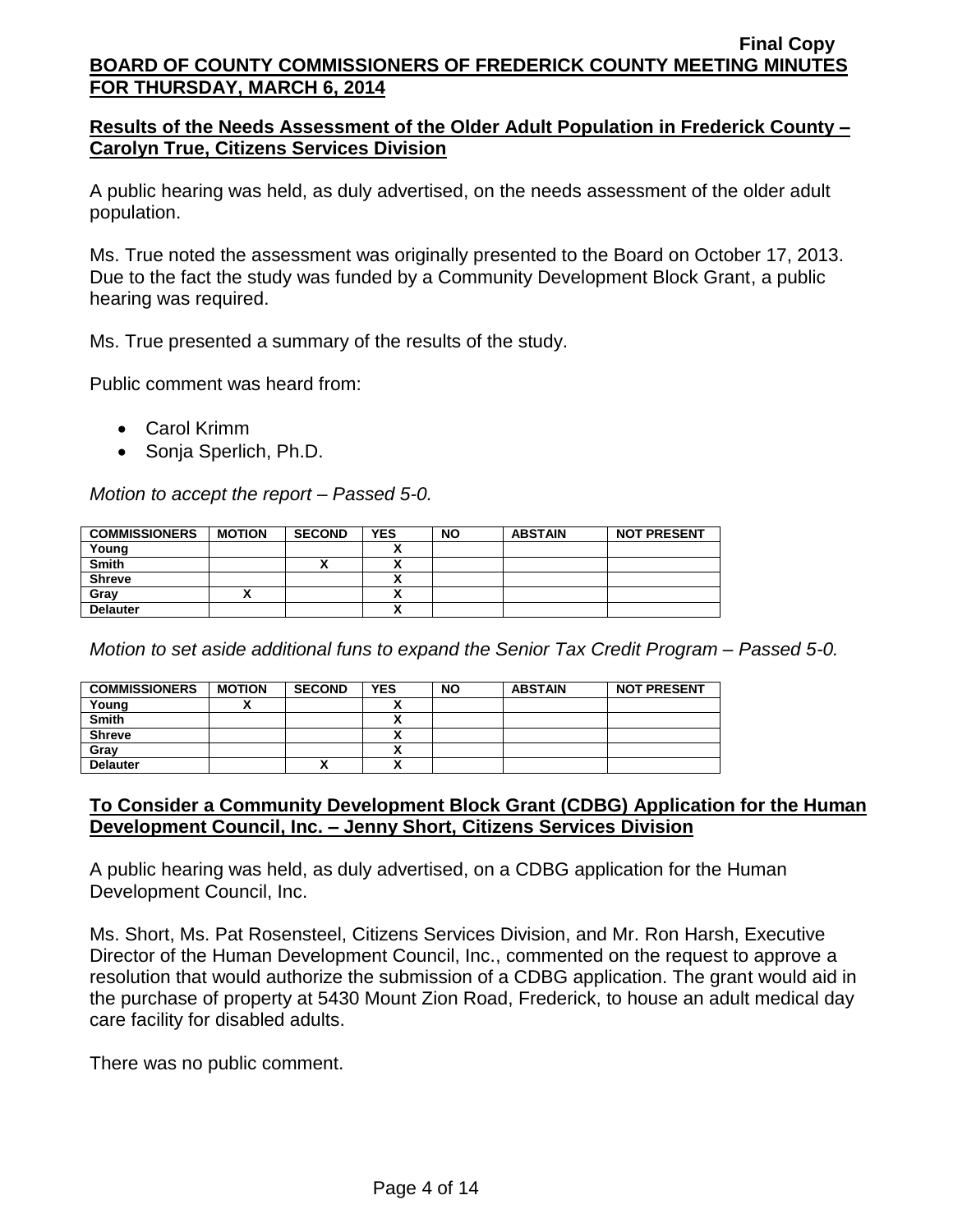## **Results of the Needs Assessment of the Older Adult Population in Frederick County – Carolyn True, Citizens Services Division**

A public hearing was held, as duly advertised, on the needs assessment of the older adult population.

Ms. True noted the assessment was originally presented to the Board on October 17, 2013. Due to the fact the study was funded by a Community Development Block Grant, a public hearing was required.

Ms. True presented a summary of the results of the study.

Public comment was heard from:

- Carol Krimm
- Sonja Sperlich, Ph.D.

*Motion to accept the report – Passed 5-0.*

| <b>COMMISSIONERS</b> | <b>MOTION</b> | <b>SECOND</b> | <b>YES</b> | <b>NO</b> | <b>ABSTAIN</b> | <b>NOT PRESENT</b> |
|----------------------|---------------|---------------|------------|-----------|----------------|--------------------|
| Young                |               |               |            |           |                |                    |
| <b>Smith</b>         |               | Λ             |            |           |                |                    |
| <b>Shreve</b>        |               |               |            |           |                |                    |
| Gray                 |               |               |            |           |                |                    |
| <b>Delauter</b>      |               |               |            |           |                |                    |

*Motion to set aside additional funs to expand the Senior Tax Credit Program – Passed 5-0.*

| <b>COMMISSIONERS</b> | <b>MOTION</b> | <b>SECOND</b> | <b>YES</b> | <b>NO</b> | <b>ABSTAIN</b> | <b>NOT PRESENT</b> |
|----------------------|---------------|---------------|------------|-----------|----------------|--------------------|
| Young                |               |               |            |           |                |                    |
| <b>Smith</b>         |               |               |            |           |                |                    |
| <b>Shreve</b>        |               |               |            |           |                |                    |
| Gray                 |               |               |            |           |                |                    |
| <b>Delauter</b>      |               | ^             |            |           |                |                    |

### **To Consider a Community Development Block Grant (CDBG) Application for the Human Development Council, Inc. – Jenny Short, Citizens Services Division**

A public hearing was held, as duly advertised, on a CDBG application for the Human Development Council, Inc.

Ms. Short, Ms. Pat Rosensteel, Citizens Services Division, and Mr. Ron Harsh, Executive Director of the Human Development Council, Inc., commented on the request to approve a resolution that would authorize the submission of a CDBG application. The grant would aid in the purchase of property at 5430 Mount Zion Road, Frederick, to house an adult medical day care facility for disabled adults.

There was no public comment.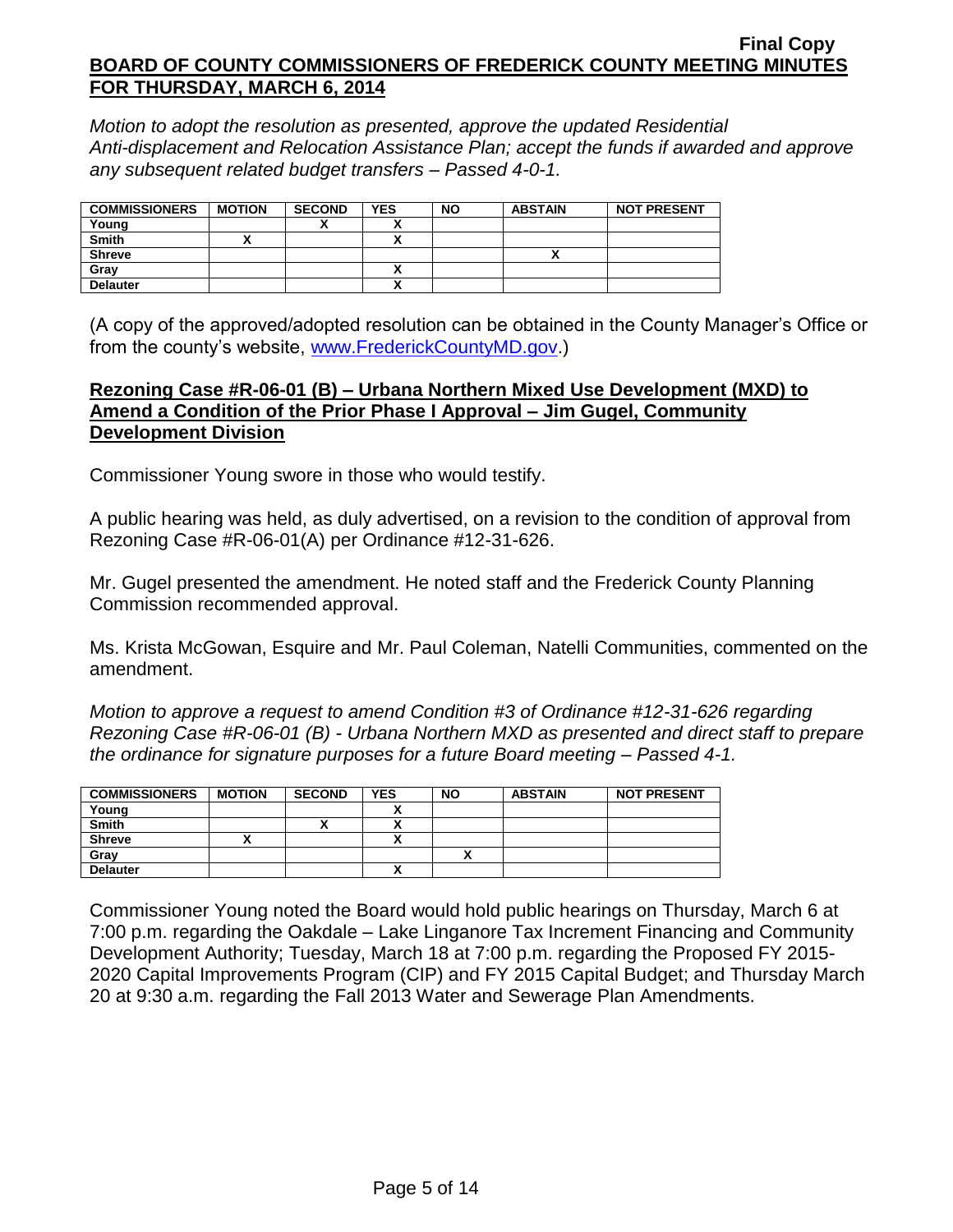*Motion to adopt the resolution as presented, approve the updated Residential Anti-displacement and Relocation Assistance Plan; accept the funds if awarded and approve any subsequent related budget transfers – Passed 4-0-1.*

| <b>COMMISSIONERS</b> | <b>MOTION</b> | <b>SECOND</b> | <b>YES</b> | <b>NO</b> | <b>ABSTAIN</b> | <b>NOT PRESENT</b> |
|----------------------|---------------|---------------|------------|-----------|----------------|--------------------|
| Young                |               |               |            |           |                |                    |
| <b>Smith</b>         |               |               |            |           |                |                    |
| <b>Shreve</b>        |               |               |            |           |                |                    |
| Grav                 |               |               |            |           |                |                    |
| <b>Delauter</b>      |               |               | ↗          |           |                |                    |

(A copy of the approved/adopted resolution can be obtained in the County Manager's Office or from the county's website, [www.FrederickCountyMD.gov.](http://www.frederickcountymd.gov/))

### **Rezoning Case #R-06-01 (B) – Urbana Northern Mixed Use Development (MXD) to Amend a Condition of the Prior Phase I Approval – Jim Gugel, Community Development Division**

Commissioner Young swore in those who would testify.

A public hearing was held, as duly advertised, on a revision to the condition of approval from Rezoning Case #R-06-01(A) per Ordinance #12-31-626.

Mr. Gugel presented the amendment. He noted staff and the Frederick County Planning Commission recommended approval.

Ms. Krista McGowan, Esquire and Mr. Paul Coleman, Natelli Communities, commented on the amendment.

*Motion to approve a request to amend Condition #3 of Ordinance #12-31-626 regarding Rezoning Case #R-06-01 (B) - Urbana Northern MXD as presented and direct staff to prepare the ordinance for signature purposes for a future Board meeting – Passed 4-1.*

| <b>COMMISSIONERS</b> | <b>MOTION</b> | <b>SECOND</b> | <b>YES</b> | <b>NO</b> | <b>ABSTAIN</b> | <b>NOT PRESENT</b> |
|----------------------|---------------|---------------|------------|-----------|----------------|--------------------|
| Young                |               |               |            |           |                |                    |
| <b>Smith</b>         |               | '             | ,,         |           |                |                    |
| <b>Shreve</b>        |               |               | Δ          |           |                |                    |
| Gray                 |               |               |            |           |                |                    |
| <b>Delauter</b>      |               |               | ~          |           |                |                    |

Commissioner Young noted the Board would hold public hearings on Thursday, March 6 at 7:00 p.m. regarding the Oakdale – Lake Linganore Tax Increment Financing and Community Development Authority; Tuesday, March 18 at 7:00 p.m. regarding the Proposed FY 2015- 2020 Capital Improvements Program (CIP) and FY 2015 Capital Budget; and Thursday March 20 at 9:30 a.m. regarding the Fall 2013 Water and Sewerage Plan Amendments.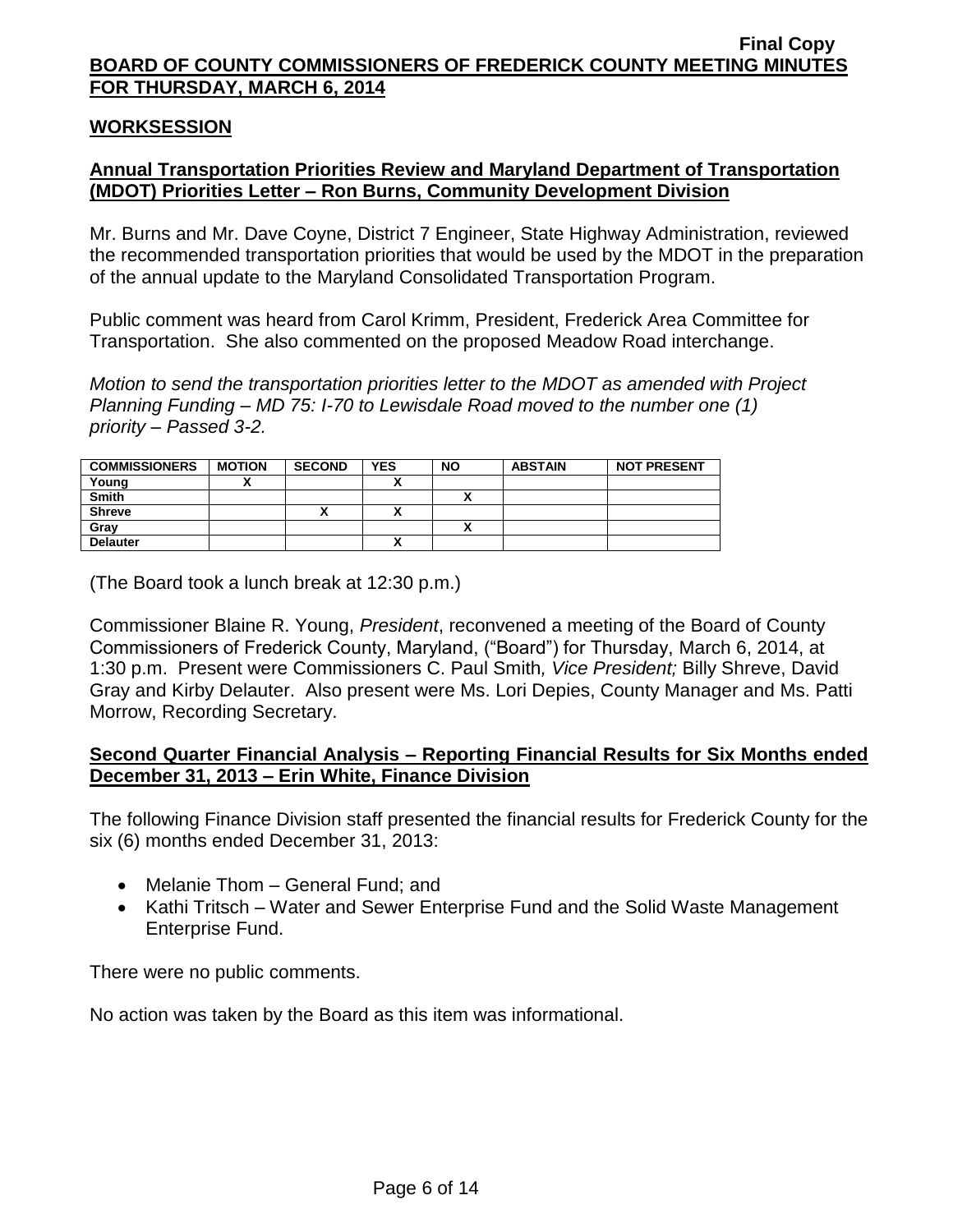### **WORKSESSION**

## **Annual Transportation Priorities Review and Maryland Department of Transportation (MDOT) Priorities Letter – Ron Burns, Community Development Division**

Mr. Burns and Mr. Dave Coyne, District 7 Engineer, State Highway Administration, reviewed the recommended transportation priorities that would be used by the MDOT in the preparation of the annual update to the Maryland Consolidated Transportation Program.

Public comment was heard from Carol Krimm, President, Frederick Area Committee for Transportation. She also commented on the proposed Meadow Road interchange.

*Motion to send the transportation priorities letter to the MDOT as amended with Project Planning Funding – MD 75: I-70 to Lewisdale Road moved to the number one (1) priority – Passed 3-2.*

| <b>COMMISSIONERS</b> | <b>MOTION</b> | <b>SECOND</b> | <b>YES</b> | <b>NO</b>                | <b>ABSTAIN</b> | <b>NOT PRESENT</b> |
|----------------------|---------------|---------------|------------|--------------------------|----------------|--------------------|
| Young                |               |               |            |                          |                |                    |
| <b>Smith</b>         |               |               |            |                          |                |                    |
| <b>Shreve</b>        |               | ~             |            |                          |                |                    |
| Grav                 |               |               |            | $\overline{\phantom{a}}$ |                |                    |
| <b>Delauter</b>      |               |               |            |                          |                |                    |

(The Board took a lunch break at 12:30 p.m.)

Commissioner Blaine R. Young, *President*, reconvened a meeting of the Board of County Commissioners of Frederick County, Maryland, ("Board") for Thursday, March 6, 2014, at 1:30 p.m. Present were Commissioners C. Paul Smith*, Vice President;* Billy Shreve, David Gray and Kirby Delauter. Also present were Ms. Lori Depies, County Manager and Ms. Patti Morrow, Recording Secretary.

## **Second Quarter Financial Analysis – Reporting Financial Results for Six Months ended December 31, 2013 – Erin White, Finance Division**

The following Finance Division staff presented the financial results for Frederick County for the six (6) months ended December 31, 2013:

- Melanie Thom General Fund; and
- Kathi Tritsch Water and Sewer Enterprise Fund and the Solid Waste Management Enterprise Fund.

There were no public comments.

No action was taken by the Board as this item was informational.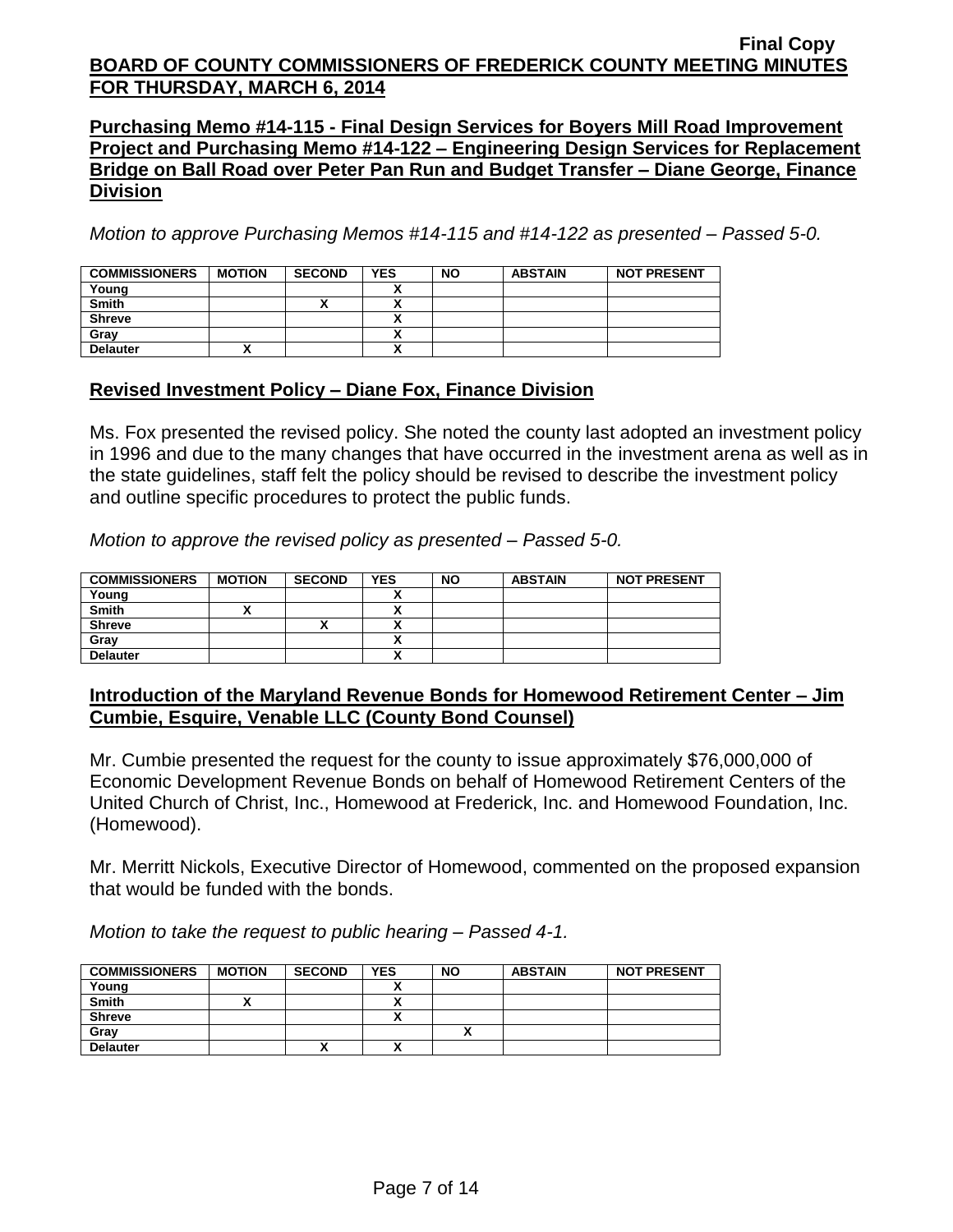**Purchasing Memo #14-115 - Final Design Services for Boyers Mill Road Improvement Project and Purchasing Memo #14-122 – Engineering Design Services for Replacement Bridge on Ball Road over Peter Pan Run and Budget Transfer – Diane George, Finance Division**

*Motion to approve Purchasing Memos #14-115 and #14-122 as presented – Passed 5-0.*

| <b>COMMISSIONERS</b> | <b>MOTION</b> | <b>SECOND</b> | <b>YES</b>                | <b>NO</b> | <b>ABSTAIN</b> | <b>NOT PRESENT</b> |
|----------------------|---------------|---------------|---------------------------|-----------|----------------|--------------------|
| Young                |               |               |                           |           |                |                    |
| <b>Smith</b>         |               |               |                           |           |                |                    |
| <b>Shreve</b>        |               |               | $\ddot{\phantom{a}}$<br>~ |           |                |                    |
| Grav                 |               |               | ^                         |           |                |                    |
| <b>Delauter</b>      |               |               | $\ddot{\phantom{a}}$<br>^ |           |                |                    |

## **Revised Investment Policy – Diane Fox, Finance Division**

Ms. Fox presented the revised policy. She noted the county last adopted an investment policy in 1996 and due to the many changes that have occurred in the investment arena as well as in the state guidelines, staff felt the policy should be revised to describe the investment policy and outline specific procedures to protect the public funds.

*Motion to approve the revised policy as presented – Passed 5-0.*

| <b>COMMISSIONERS</b> | <b>MOTION</b> | <b>SECOND</b> | <b>YES</b> | <b>NO</b> | <b>ABSTAIN</b> | <b>NOT PRESENT</b> |
|----------------------|---------------|---------------|------------|-----------|----------------|--------------------|
| Young                |               |               |            |           |                |                    |
| <b>Smith</b>         |               |               |            |           |                |                    |
| <b>Shreve</b>        |               |               |            |           |                |                    |
| Grav                 |               |               |            |           |                |                    |
| <b>Delauter</b>      |               |               |            |           |                |                    |

### **Introduction of the Maryland Revenue Bonds for Homewood Retirement Center – Jim Cumbie, Esquire, Venable LLC (County Bond Counsel)**

Mr. Cumbie presented the request for the county to issue approximately \$76,000,000 of Economic Development Revenue Bonds on behalf of Homewood Retirement Centers of the United Church of Christ, Inc., Homewood at Frederick, Inc. and Homewood Foundation, Inc. (Homewood).

Mr. Merritt Nickols, Executive Director of Homewood, commented on the proposed expansion that would be funded with the bonds.

*Motion to take the request to public hearing – Passed 4-1.*

| <b>COMMISSIONERS</b> | <b>MOTION</b> | <b>SECOND</b> | <b>YES</b>           | <b>NO</b> | <b>ABSTAIN</b> | <b>NOT PRESENT</b> |
|----------------------|---------------|---------------|----------------------|-----------|----------------|--------------------|
| Young                |               |               |                      |           |                |                    |
| <b>Smith</b>         |               |               |                      |           |                |                    |
| <b>Shreve</b>        |               |               | $\ddot{\phantom{a}}$ |           |                |                    |
| Gray                 |               |               |                      |           |                |                    |
| <b>Delauter</b>      |               | Λ             | $\ddot{\phantom{a}}$ |           |                |                    |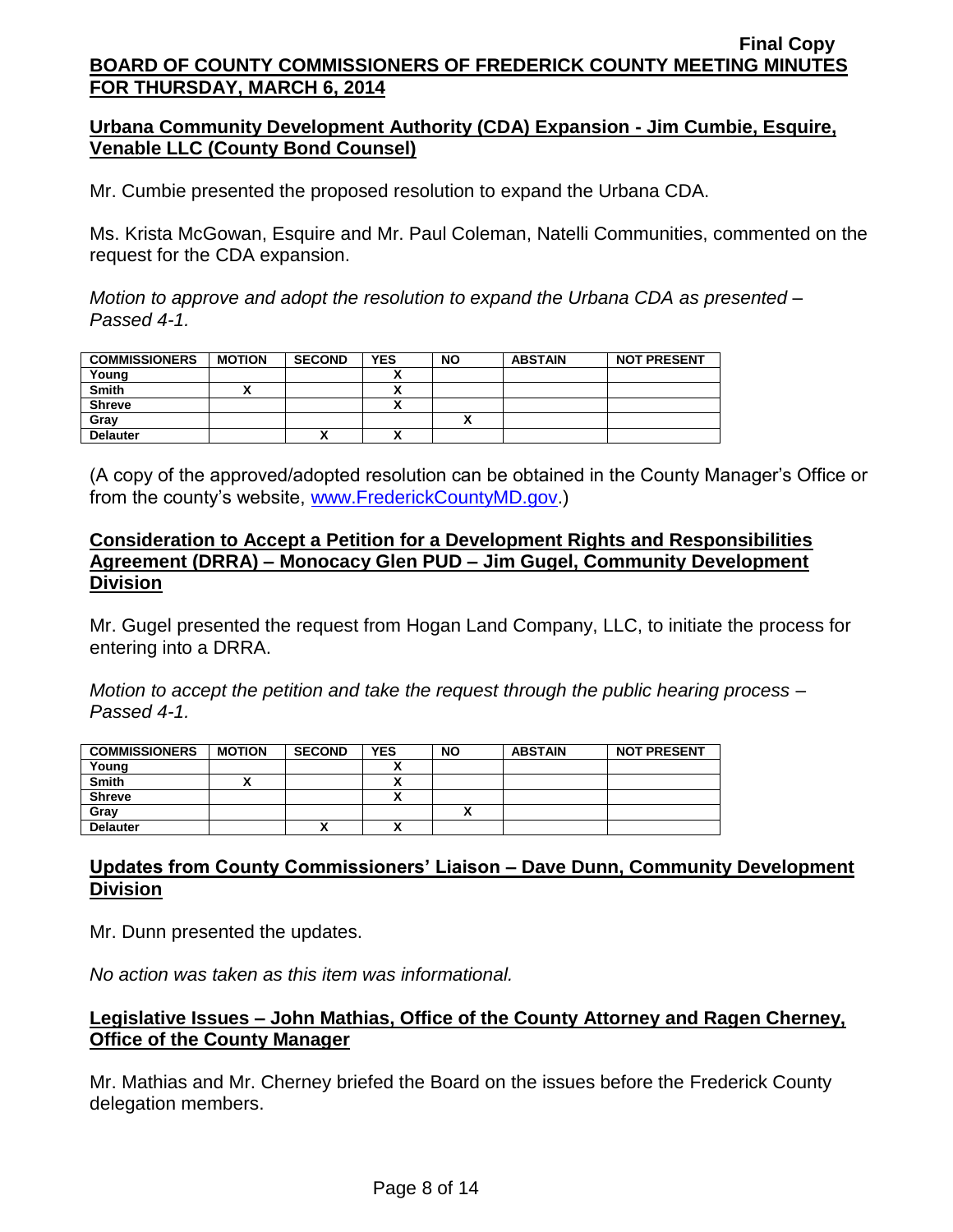### **Urbana Community Development Authority (CDA) Expansion - Jim Cumbie, Esquire, Venable LLC (County Bond Counsel)**

Mr. Cumbie presented the proposed resolution to expand the Urbana CDA.

Ms. Krista McGowan, Esquire and Mr. Paul Coleman, Natelli Communities, commented on the request for the CDA expansion.

*Motion to approve and adopt the resolution to expand the Urbana CDA as presented – Passed 4-1.*

| <b>COMMISSIONERS</b> | <b>MOTION</b> | <b>SECOND</b> | <b>YES</b> | <b>NO</b> | <b>ABSTAIN</b> | <b>NOT PRESENT</b> |
|----------------------|---------------|---------------|------------|-----------|----------------|--------------------|
| Young                |               |               |            |           |                |                    |
| <b>Smith</b>         |               |               |            |           |                |                    |
| <b>Shreve</b>        |               |               |            |           |                |                    |
| Gray                 |               |               |            |           |                |                    |
| <b>Delauter</b>      |               | ^             |            |           |                |                    |

(A copy of the approved/adopted resolution can be obtained in the County Manager's Office or from the county's website, [www.FrederickCountyMD.gov.](http://www.frederickcountymd.gov/))

### **Consideration to Accept a Petition for a Development Rights and Responsibilities Agreement (DRRA) – Monocacy Glen PUD – Jim Gugel, Community Development Division**

Mr. Gugel presented the request from Hogan Land Company, LLC, to initiate the process for entering into a DRRA.

*Motion to accept the petition and take the request through the public hearing process – Passed 4-1.*

| <b>COMMISSIONERS</b> | <b>MOTION</b> | <b>SECOND</b> | <b>YES</b> | <b>NO</b> | <b>ABSTAIN</b> | <b>NOT PRESENT</b> |
|----------------------|---------------|---------------|------------|-----------|----------------|--------------------|
| Young                |               |               |            |           |                |                    |
| <b>Smith</b>         |               |               |            |           |                |                    |
| <b>Shreve</b>        |               |               | v          |           |                |                    |
| Gray                 |               |               |            |           |                |                    |
| <b>Delauter</b>      |               | ~             | ^          |           |                |                    |

## **Updates from County Commissioners' Liaison – Dave Dunn, Community Development Division**

Mr. Dunn presented the updates.

*No action was taken as this item was informational.*

### **Legislative Issues – John Mathias, Office of the County Attorney and Ragen Cherney, Office of the County Manager**

Mr. Mathias and Mr. Cherney briefed the Board on the issues before the Frederick County delegation members.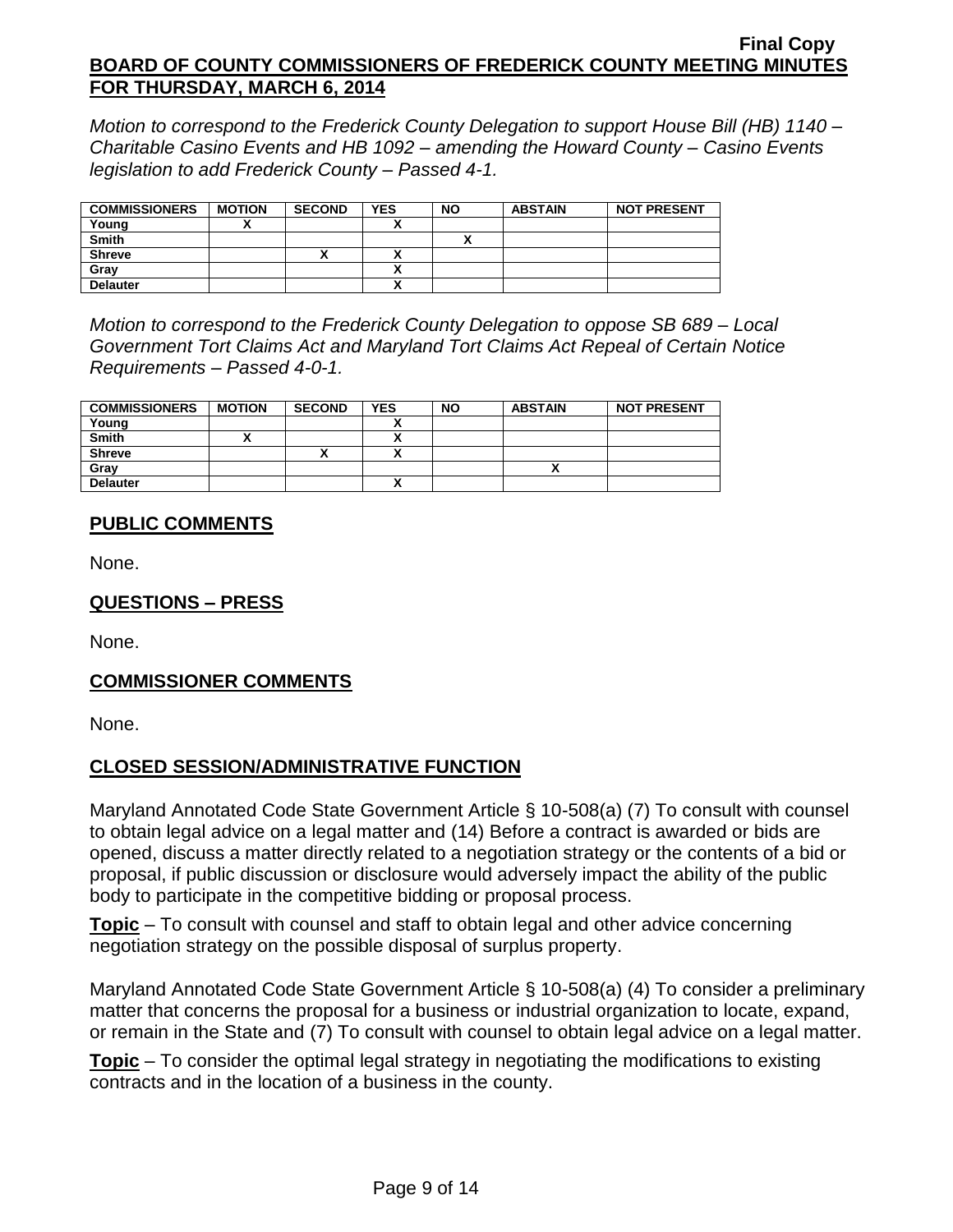*Motion to correspond to the Frederick County Delegation to support House Bill (HB) 1140 – Charitable Casino Events and HB 1092 – amending the Howard County – Casino Events legislation to add Frederick County – Passed 4-1.*

| <b>COMMISSIONERS</b> | <b>MOTION</b> | <b>SECOND</b> | <b>YES</b> | <b>NO</b> | <b>ABSTAIN</b> | <b>NOT PRESENT</b> |
|----------------------|---------------|---------------|------------|-----------|----------------|--------------------|
| Young                |               |               |            |           |                |                    |
| <b>Smith</b>         |               |               |            |           |                |                    |
| <b>Shreve</b>        |               | ́             |            |           |                |                    |
| Gray                 |               |               |            |           |                |                    |
| <b>Delauter</b>      |               |               |            |           |                |                    |

*Motion to correspond to the Frederick County Delegation to oppose SB 689 – Local Government Tort Claims Act and Maryland Tort Claims Act Repeal of Certain Notice Requirements – Passed 4-0-1.*

| <b>COMMISSIONERS</b> | <b>MOTION</b> | <b>SECOND</b> | <b>YES</b>   | <b>NO</b> | <b>ABSTAIN</b> | <b>NOT PRESENT</b> |
|----------------------|---------------|---------------|--------------|-----------|----------------|--------------------|
| Young                |               |               |              |           |                |                    |
| <b>Smith</b>         |               |               |              |           |                |                    |
| <b>Shreve</b>        |               | $\mathbf{v}$  | $\mathbf{v}$ |           |                |                    |
| Gray                 |               |               |              |           |                |                    |
| <b>Delauter</b>      |               |               |              |           |                |                    |

# **PUBLIC COMMENTS**

None.

# **QUESTIONS – PRESS**

None.

# **COMMISSIONER COMMENTS**

None.

# **CLOSED SESSION/ADMINISTRATIVE FUNCTION**

Maryland Annotated Code State Government Article § 10-508(a) (7) To consult with counsel to obtain legal advice on a legal matter and (14) Before a contract is awarded or bids are opened, discuss a matter directly related to a negotiation strategy or the contents of a bid or proposal, if public discussion or disclosure would adversely impact the ability of the public body to participate in the competitive bidding or proposal process.

**Topic** – To consult with counsel and staff to obtain legal and other advice concerning negotiation strategy on the possible disposal of surplus property.

Maryland Annotated Code State Government Article § 10-508(a) (4) To consider a preliminary matter that concerns the proposal for a business or industrial organization to locate, expand, or remain in the State and (7) To consult with counsel to obtain legal advice on a legal matter.

**Topic** – To consider the optimal legal strategy in negotiating the modifications to existing contracts and in the location of a business in the county.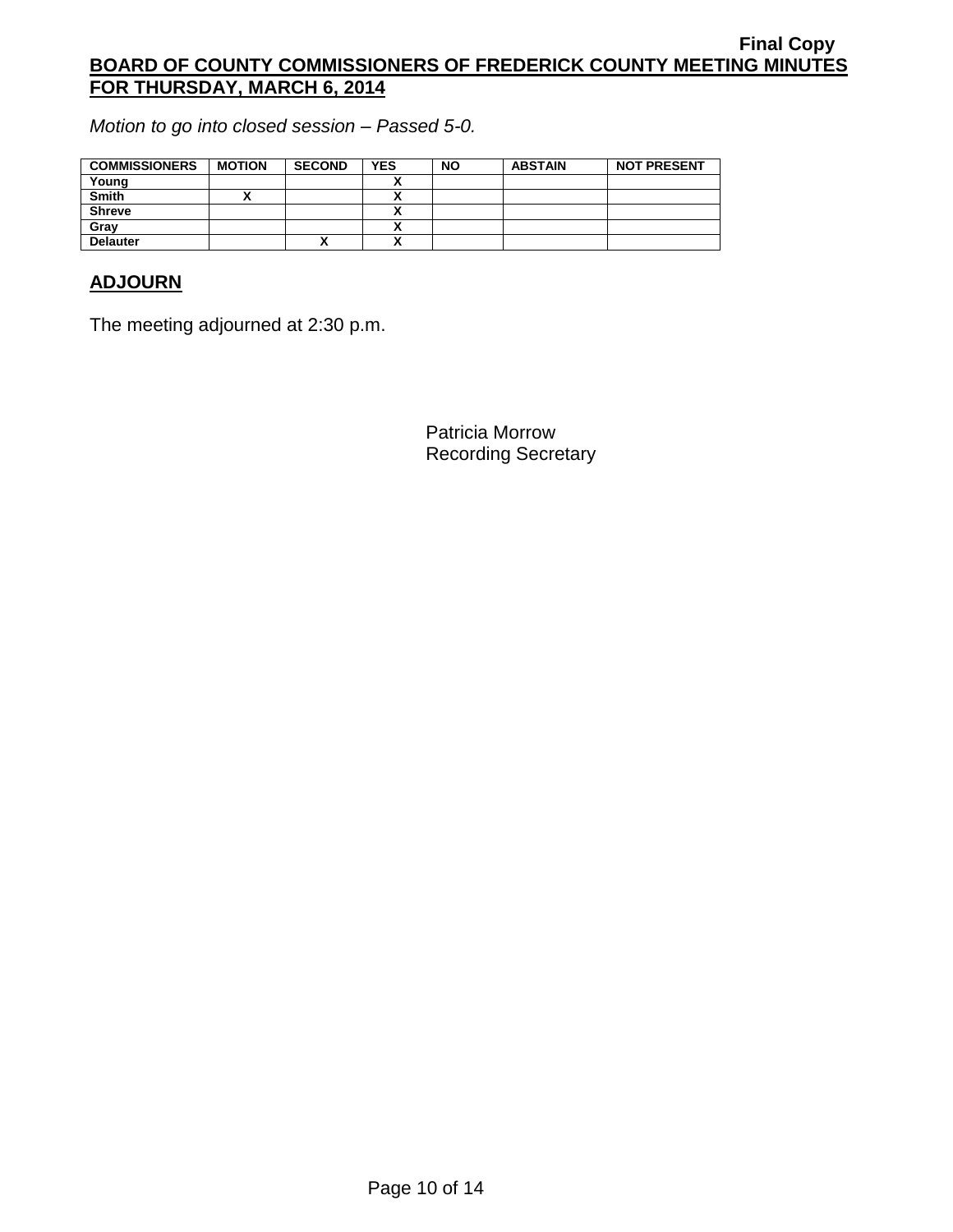*Motion to go into closed session – Passed 5-0.*

| <b>COMMISSIONERS</b> | <b>MOTION</b> | <b>SECOND</b> | <b>YES</b> | <b>NO</b> | <b>ABSTAIN</b> | <b>NOT PRESENT</b> |
|----------------------|---------------|---------------|------------|-----------|----------------|--------------------|
| Young                |               |               |            |           |                |                    |
| <b>Smith</b>         |               |               |            |           |                |                    |
| <b>Shreve</b>        |               |               |            |           |                |                    |
| Grav                 |               |               |            |           |                |                    |
| <b>Delauter</b>      |               |               |            |           |                |                    |

# **ADJOURN**

The meeting adjourned at 2:30 p.m.

Patricia Morrow Recording Secretary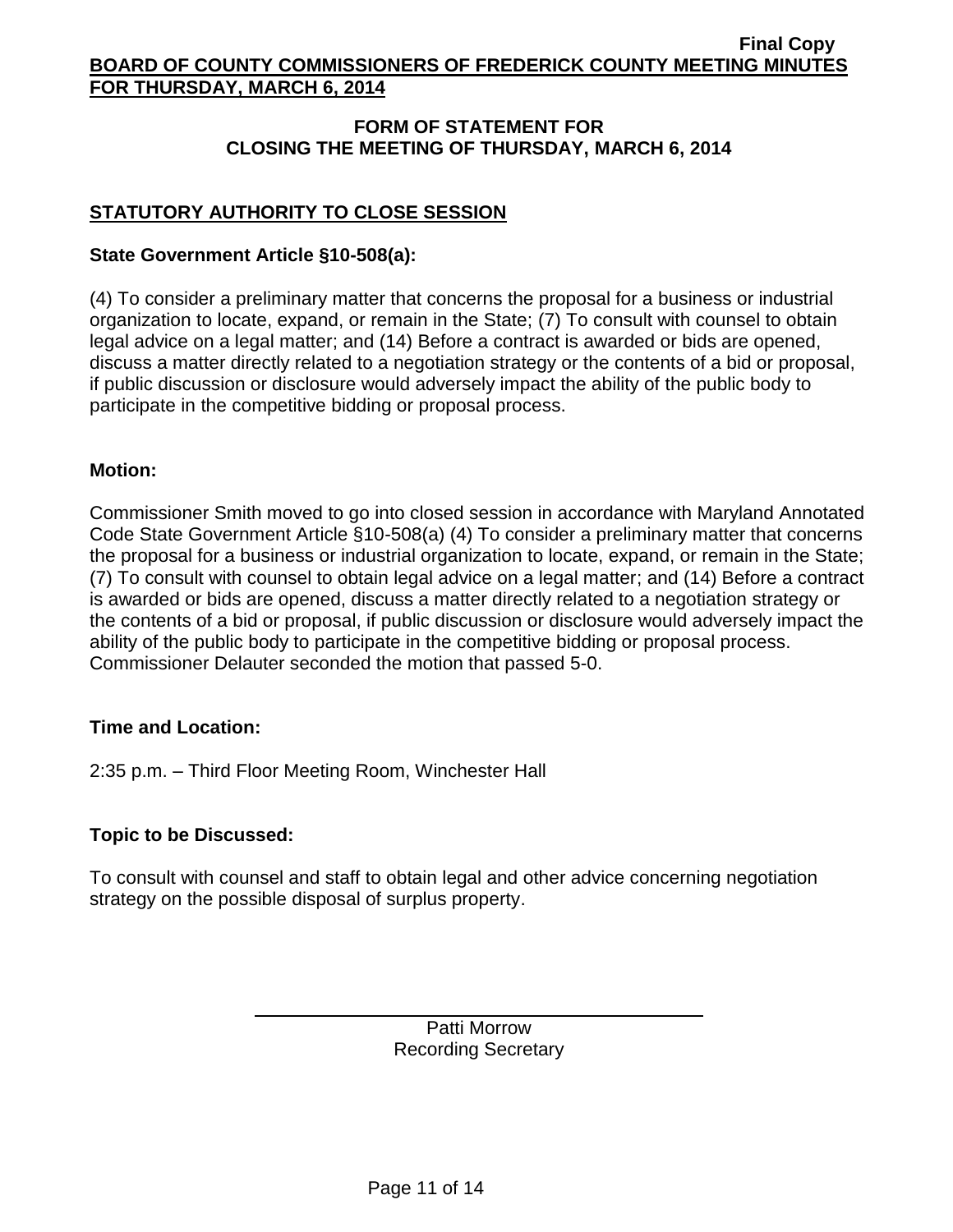## **FORM OF STATEMENT FOR CLOSING THE MEETING OF THURSDAY, MARCH 6, 2014**

# **STATUTORY AUTHORITY TO CLOSE SESSION**

## **State Government Article §10-508(a):**

(4) To consider a preliminary matter that concerns the proposal for a business or industrial organization to locate, expand, or remain in the State; (7) To consult with counsel to obtain legal advice on a legal matter; and (14) Before a contract is awarded or bids are opened, discuss a matter directly related to a negotiation strategy or the contents of a bid or proposal, if public discussion or disclosure would adversely impact the ability of the public body to participate in the competitive bidding or proposal process.

### **Motion:**

Commissioner Smith moved to go into closed session in accordance with Maryland Annotated Code State Government Article §10-508(a) (4) To consider a preliminary matter that concerns the proposal for a business or industrial organization to locate, expand, or remain in the State; (7) To consult with counsel to obtain legal advice on a legal matter; and (14) Before a contract is awarded or bids are opened, discuss a matter directly related to a negotiation strategy or the contents of a bid or proposal, if public discussion or disclosure would adversely impact the ability of the public body to participate in the competitive bidding or proposal process. Commissioner Delauter seconded the motion that passed 5-0.

### **Time and Location:**

2:35 p.m. – Third Floor Meeting Room, Winchester Hall

### **Topic to be Discussed:**

To consult with counsel and staff to obtain legal and other advice concerning negotiation strategy on the possible disposal of surplus property.

> Patti Morrow Recording Secretary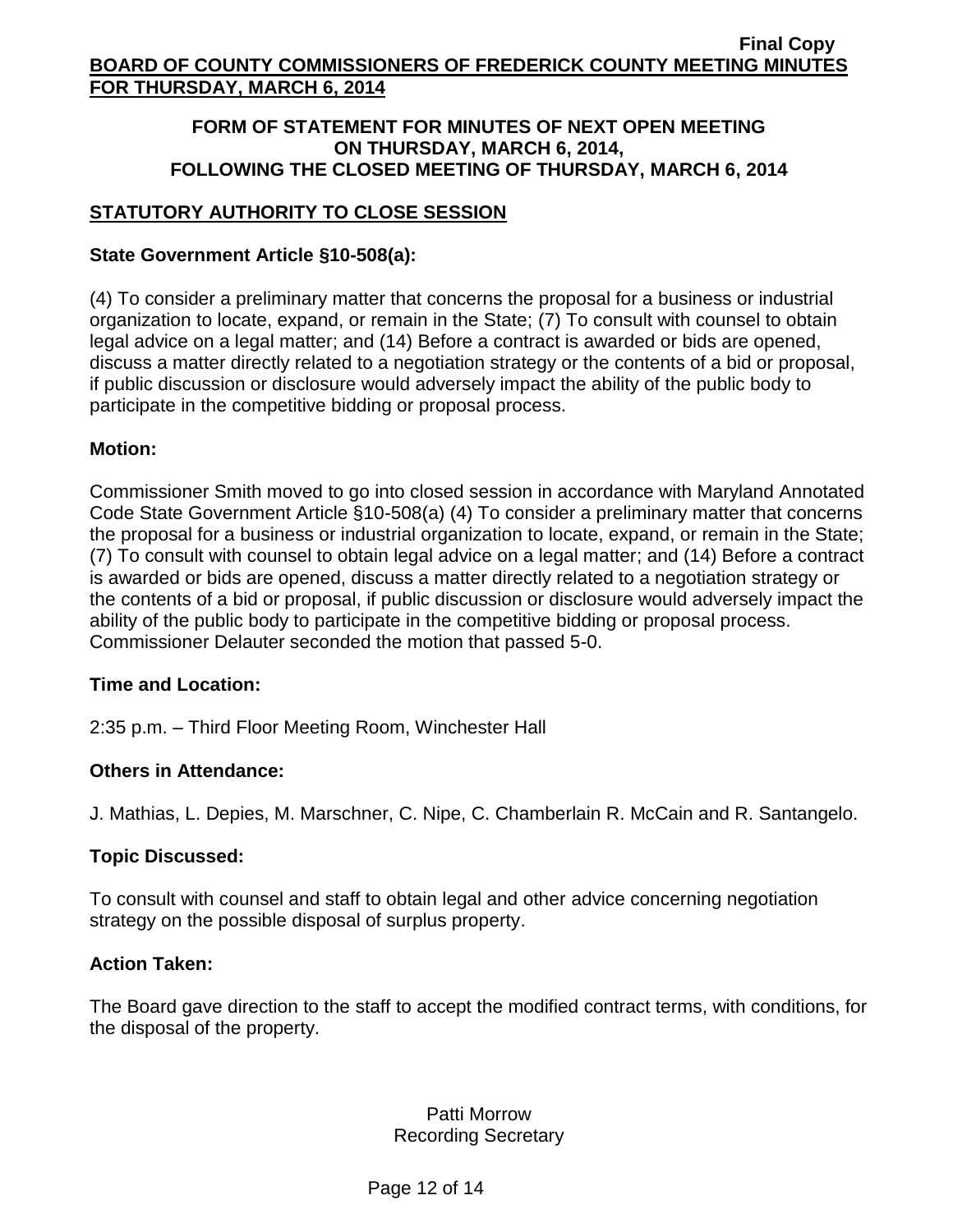### **FORM OF STATEMENT FOR MINUTES OF NEXT OPEN MEETING ON THURSDAY, MARCH 6, 2014, FOLLOWING THE CLOSED MEETING OF THURSDAY, MARCH 6, 2014**

# **STATUTORY AUTHORITY TO CLOSE SESSION**

### **State Government Article §10-508(a):**

(4) To consider a preliminary matter that concerns the proposal for a business or industrial organization to locate, expand, or remain in the State; (7) To consult with counsel to obtain legal advice on a legal matter; and (14) Before a contract is awarded or bids are opened, discuss a matter directly related to a negotiation strategy or the contents of a bid or proposal, if public discussion or disclosure would adversely impact the ability of the public body to participate in the competitive bidding or proposal process.

### **Motion:**

Commissioner Smith moved to go into closed session in accordance with Maryland Annotated Code State Government Article §10-508(a) (4) To consider a preliminary matter that concerns the proposal for a business or industrial organization to locate, expand, or remain in the State; (7) To consult with counsel to obtain legal advice on a legal matter; and (14) Before a contract is awarded or bids are opened, discuss a matter directly related to a negotiation strategy or the contents of a bid or proposal, if public discussion or disclosure would adversely impact the ability of the public body to participate in the competitive bidding or proposal process. Commissioner Delauter seconded the motion that passed 5-0.

### **Time and Location:**

2:35 p.m. – Third Floor Meeting Room, Winchester Hall

### **Others in Attendance:**

J. Mathias, L. Depies, M. Marschner, C. Nipe, C. Chamberlain R. McCain and R. Santangelo.

### **Topic Discussed:**

To consult with counsel and staff to obtain legal and other advice concerning negotiation strategy on the possible disposal of surplus property.

#### **Action Taken:**

The Board gave direction to the staff to accept the modified contract terms, with conditions, for the disposal of the property.

## Patti Morrow Recording Secretary

Page 12 of 14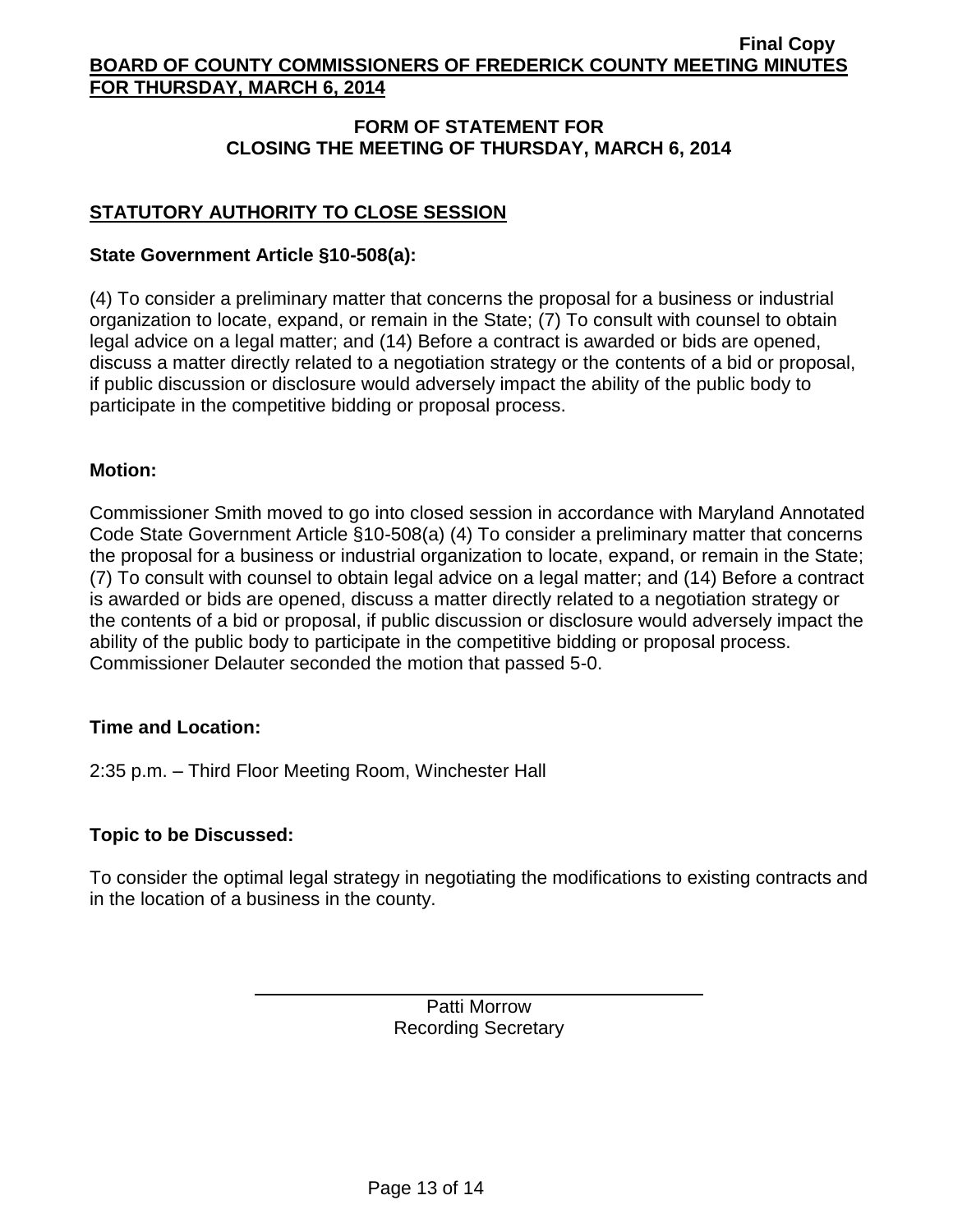## **FORM OF STATEMENT FOR CLOSING THE MEETING OF THURSDAY, MARCH 6, 2014**

# **STATUTORY AUTHORITY TO CLOSE SESSION**

## **State Government Article §10-508(a):**

(4) To consider a preliminary matter that concerns the proposal for a business or industrial organization to locate, expand, or remain in the State; (7) To consult with counsel to obtain legal advice on a legal matter; and (14) Before a contract is awarded or bids are opened, discuss a matter directly related to a negotiation strategy or the contents of a bid or proposal, if public discussion or disclosure would adversely impact the ability of the public body to participate in the competitive bidding or proposal process.

### **Motion:**

Commissioner Smith moved to go into closed session in accordance with Maryland Annotated Code State Government Article §10-508(a) (4) To consider a preliminary matter that concerns the proposal for a business or industrial organization to locate, expand, or remain in the State; (7) To consult with counsel to obtain legal advice on a legal matter; and (14) Before a contract is awarded or bids are opened, discuss a matter directly related to a negotiation strategy or the contents of a bid or proposal, if public discussion or disclosure would adversely impact the ability of the public body to participate in the competitive bidding or proposal process. Commissioner Delauter seconded the motion that passed 5-0.

### **Time and Location:**

2:35 p.m. – Third Floor Meeting Room, Winchester Hall

### **Topic to be Discussed:**

To consider the optimal legal strategy in negotiating the modifications to existing contracts and in the location of a business in the county.

> Patti Morrow Recording Secretary